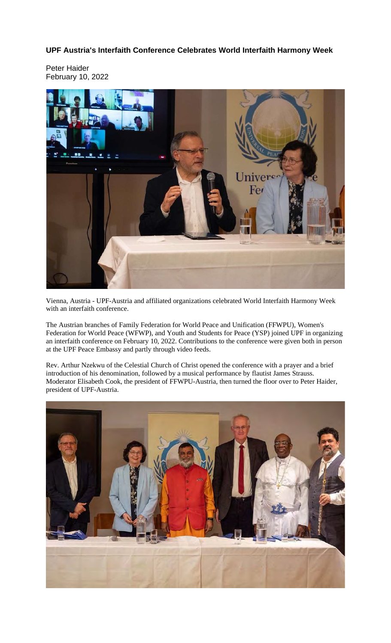## **UPF Austria's Interfaith Conference Celebrates World Interfaith Harmony Week**

Peter Haider February 10, 2022



Vienna, Austria - UPF-Austria and affiliated organizations celebrated World Interfaith Harmony Week with an interfaith conference.

The Austrian branches of Family Federation for World Peace and Unification (FFWPU), Women's Federation for World Peace (WFWP), and Youth and Students for Peace (YSP) joined UPF in organizing an interfaith conference on February 10, 2022. Contributions to the conference were given both in person at the UPF Peace Embassy and partly through video feeds.

Rev. Arthur Nzekwu of the Celestial Church of Christ opened the conference with a prayer and a brief introduction of his denomination, followed by a musical performance by flautist James Strauss. Moderator Elisabeth Cook, the president of FFWPU-Austria, then turned the floor over to Peter Haider, president of UPF-Austria.

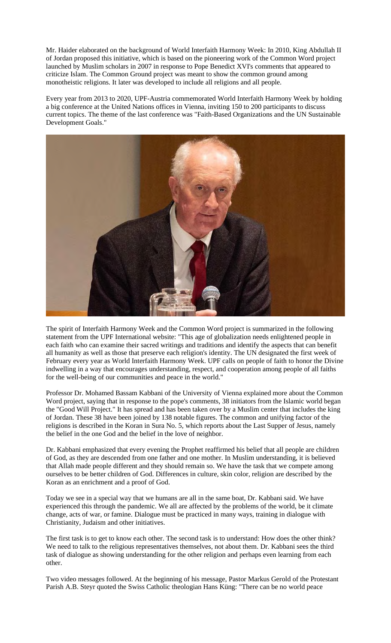Mr. Haider elaborated on the background of World Interfaith Harmony Week: In 2010, King Abdullah II of Jordan proposed this initiative, which is based on the pioneering work of the Common Word project launched by Muslim scholars in 2007 in response to Pope Benedict XVI's comments that appeared to criticize Islam. The Common Ground project was meant to show the common ground among monotheistic religions. It later was developed to include all religions and all people.

Every year from 2013 to 2020, UPF-Austria commemorated World Interfaith Harmony Week by holding a big conference at the United Nations offices in Vienna, inviting 150 to 200 participants to discuss current topics. The theme of the last conference was "Faith-Based Organizations and the UN Sustainable Development Goals."



The spirit of Interfaith Harmony Week and the Common Word project is summarized in the following statement from the UPF International website: "This age of globalization needs enlightened people in each faith who can examine their sacred writings and traditions and identify the aspects that can benefit all humanity as well as those that preserve each religion's identity. The UN designated the first week of February every year as World Interfaith Harmony Week. UPF calls on people of faith to honor the Divine indwelling in a way that encourages understanding, respect, and cooperation among people of all faiths for the well-being of our communities and peace in the world."

Professor Dr. Mohamed Bassam Kabbani of the University of Vienna explained more about the Common Word project, saying that in response to the pope's comments, 38 initiators from the Islamic world began the "Good Will Project." It has spread and has been taken over by a Muslim center that includes the king of Jordan. These 38 have been joined by 138 notable figures. The common and unifying factor of the religions is described in the Koran in Sura No. 5, which reports about the Last Supper of Jesus, namely the belief in the one God and the belief in the love of neighbor.

Dr. Kabbani emphasized that every evening the Prophet reaffirmed his belief that all people are children of God, as they are descended from one father and one mother. In Muslim understanding, it is believed that Allah made people different and they should remain so. We have the task that we compete among ourselves to be better children of God. Differences in culture, skin color, religion are described by the Koran as an enrichment and a proof of God.

Today we see in a special way that we humans are all in the same boat, Dr. Kabbani said. We have experienced this through the pandemic. We all are affected by the problems of the world, be it climate change, acts of war, or famine. Dialogue must be practiced in many ways, training in dialogue with Christianity, Judaism and other initiatives.

The first task is to get to know each other. The second task is to understand: How does the other think? We need to talk to the religious representatives themselves, not about them. Dr. Kabbani sees the third task of dialogue as showing understanding for the other religion and perhaps even learning from each other.

Two video messages followed. At the beginning of his message, Pastor Markus Gerold of the Protestant Parish A.B. Steyr quoted the Swiss Catholic theologian Hans Küng: "There can be no world peace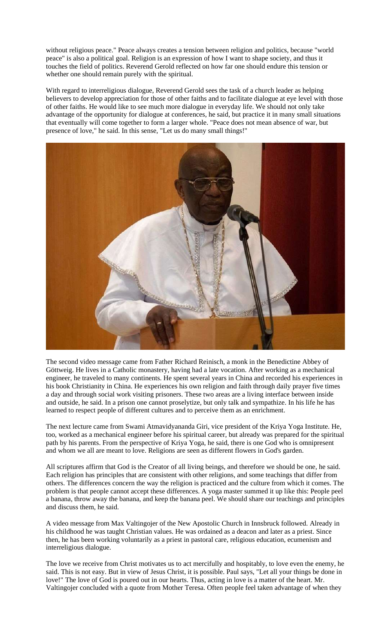without religious peace." Peace always creates a tension between religion and politics, because "world peace" is also a political goal. Religion is an expression of how I want to shape society, and thus it touches the field of politics. Reverend Gerold reflected on how far one should endure this tension or whether one should remain purely with the spiritual.

With regard to interreligious dialogue, Reverend Gerold sees the task of a church leader as helping believers to develop appreciation for those of other faiths and to facilitate dialogue at eye level with those of other faiths. He would like to see much more dialogue in everyday life. We should not only take advantage of the opportunity for dialogue at conferences, he said, but practice it in many small situations that eventually will come together to form a larger whole. "Peace does not mean absence of war, but presence of love," he said. In this sense, "Let us do many small things!"



The second video message came from Father Richard Reinisch, a monk in the Benedictine Abbey of Göttweig. He lives in a Catholic monastery, having had a late vocation. After working as a mechanical engineer, he traveled to many continents. He spent several years in China and recorded his experiences in his book Christianity in China. He experiences his own religion and faith through daily prayer five times a day and through social work visiting prisoners. These two areas are a living interface between inside and outside, he said. In a prison one cannot proselytize, but only talk and sympathize. In his life he has learned to respect people of different cultures and to perceive them as an enrichment.

The next lecture came from Swami Atmavidyananda Giri, vice president of the Kriya Yoga Institute. He, too, worked as a mechanical engineer before his spiritual career, but already was prepared for the spiritual path by his parents. From the perspective of Kriya Yoga, he said, there is one God who is omnipresent and whom we all are meant to love. Religions are seen as different flowers in God's garden.

All scriptures affirm that God is the Creator of all living beings, and therefore we should be one, he said. Each religion has principles that are consistent with other religions, and some teachings that differ from others. The differences concern the way the religion is practiced and the culture from which it comes. The problem is that people cannot accept these differences. A yoga master summed it up like this: People peel a banana, throw away the banana, and keep the banana peel. We should share our teachings and principles and discuss them, he said.

A video message from Max Valtingojer of the New Apostolic Church in Innsbruck followed. Already in his childhood he was taught Christian values. He was ordained as a deacon and later as a priest. Since then, he has been working voluntarily as a priest in pastoral care, religious education, ecumenism and interreligious dialogue.

The love we receive from Christ motivates us to act mercifully and hospitably, to love even the enemy, he said. This is not easy. But in view of Jesus Christ, it is possible. Paul says, "Let all your things be done in love!" The love of God is poured out in our hearts. Thus, acting in love is a matter of the heart. Mr. Valtingojer concluded with a quote from Mother Teresa. Often people feel taken advantage of when they